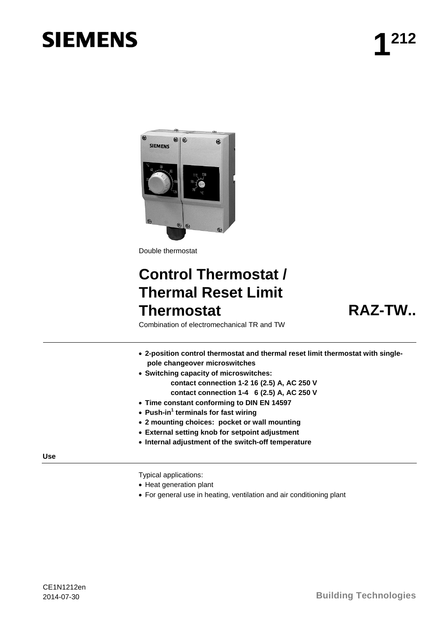# **SIEMENS**



Double thermostat

# **Control Thermostat / Thermal Reset Limit Thermostat RAZ-TW..**

Combination of electromechanical TR and TW

- **2-position control thermostat and thermal reset limit thermostat with singlepole changeover microswitches**
- **Switching capacity of microswitches:** 
	- **contact connection 1-2 16 (2.5) A, AC 250 V contact connection 1-4 6 (2.5) A, AC 250 V**
- **Time constant conforming to DIN EN 14597**
- **Push-in1 terminals for fast wiring**
- **2 mounting choices: pocket or wall mounting**
- **External setting knob for setpoint adjustment**
- **Internal adjustment of the switch-off temperature**

#### **Use**

Typical applications:

- Heat generation plant
- For general use in heating, ventilation and air conditioning plant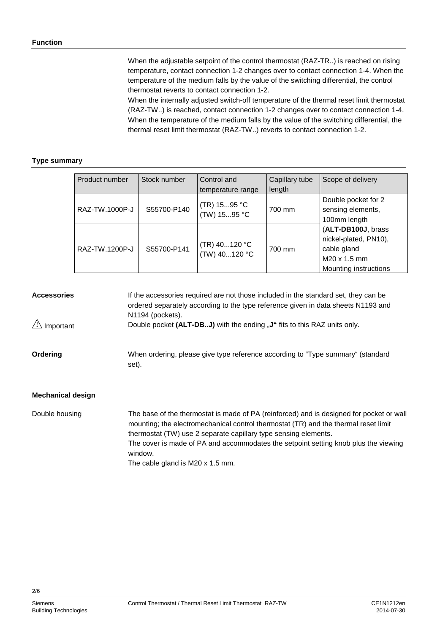When the adjustable setpoint of the control thermostat (RAZ-TR..) is reached on rising temperature, contact connection 1-2 changes over to contact connection 1-4. When the temperature of the medium falls by the value of the switching differential, the control thermostat reverts to contact connection 1-2.

When the internally adjusted switch-off temperature of the thermal reset limit thermostat (RAZ-TW..) is reached, contact connection 1-2 changes over to contact connection 1-4. When the temperature of the medium falls by the value of the switching differential, the thermal reset limit thermostat (RAZ-TW..) reverts to contact connection 1-2.

#### **Type summary**

| Product number | Stock number | Control and<br>temperature range | Capillary tube<br>length | Scope of delivery                                                                                   |
|----------------|--------------|----------------------------------|--------------------------|-----------------------------------------------------------------------------------------------------|
| RAZ-TW.1000P-J | S55700-P140  | (TR) 1595 °C<br>(TW) 1595 °C     | 700 mm                   | Double pocket for 2<br>sensing elements,<br>100mm length                                            |
| RAZ-TW.1200P-J | S55700-P141  | (TR) 40120 °C<br>(TW) 40120 °C   | 700 mm                   | (ALT-DB100J, brass<br>nickel-plated, PN10),<br>cable gland<br>M20 x 1.5 mm<br>Mounting instructions |

# If the accessories required are not those included in the standard set, they can be ordered separately according to the type reference given in data sheets N1193 and N1194 (pockets). Double pocket (ALT-DB..J) with the ending "J" fits to this RAZ units only. When ordering, please give type reference according to "Type summary" (standard set). **Accessories**  $\sqrt{1}$  Important **Ordering**

#### **Mechanical design**

| Double housing | The base of the thermostat is made of PA (reinforced) and is designed for pocket or wall |
|----------------|------------------------------------------------------------------------------------------|
|                | mounting; the electromechanical control thermostat (TR) and the thermal reset limit      |
|                | thermostat (TW) use 2 separate capillary type sensing elements.                          |
|                | The cover is made of PA and accommodates the setpoint setting knob plus the viewing      |
|                | window.                                                                                  |
|                | The cable gland is M20 x 1.5 mm.                                                         |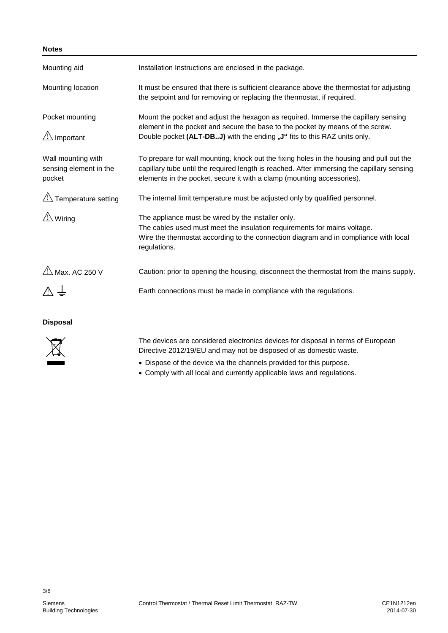## **Notes**

| Mounting aid                                           | Installation Instructions are enclosed in the package.                                                                                                                                                                                                           |
|--------------------------------------------------------|------------------------------------------------------------------------------------------------------------------------------------------------------------------------------------------------------------------------------------------------------------------|
| Mounting location                                      | It must be ensured that there is sufficient clearance above the thermostat for adjusting<br>the setpoint and for removing or replacing the thermostat, if required.                                                                                              |
| Pocket mounting<br>$\mathbb{A}$ Important              | Mount the pocket and adjust the hexagon as required. Immerse the capillary sensing<br>element in the pocket and secure the base to the pocket by means of the screw.<br>Double pocket (ALT-DBJ) with the ending "J" fits to this RAZ units only.                 |
| Wall mounting with<br>sensing element in the<br>pocket | To prepare for wall mounting, knock out the fixing holes in the housing and pull out the<br>capillary tube until the required length is reached. After immersing the capillary sensing<br>elements in the pocket, secure it with a clamp (mounting accessories). |
| $\sqrt{2}$ Temperature setting                         | The internal limit temperature must be adjusted only by qualified personnel.                                                                                                                                                                                     |
| $\triangle$ Wiring                                     | The appliance must be wired by the installer only.<br>The cables used must meet the insulation requirements for mains voltage.<br>Wire the thermostat according to the connection diagram and in compliance with local<br>regulations.                           |
| $\mathcal{L}$ Max. AC 250 V                            | Caution: prior to opening the housing, disconnect the thermostat from the mains supply.                                                                                                                                                                          |
|                                                        | Earth connections must be made in compliance with the regulations.                                                                                                                                                                                               |
| <b>Disposal</b>                                        |                                                                                                                                                                                                                                                                  |



The devices are considered electronics devices for disposal in terms of European Directive 2012/19/EU and may not be disposed of as domestic waste.

• Dispose of the device via the channels provided for this purpose.

• Comply with all local and currently applicable laws and regulations.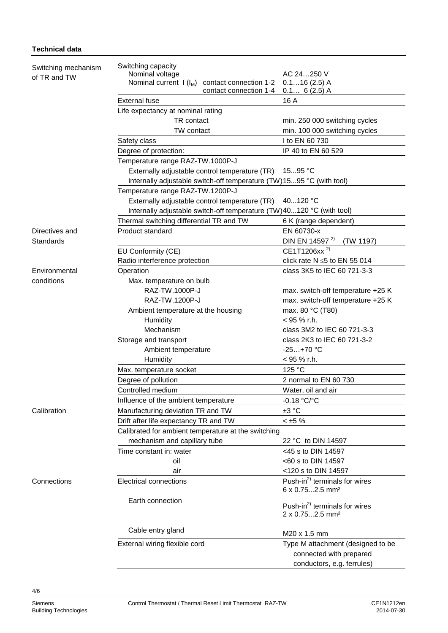## **Technical data**

| Switching mechanism | Switching capacity<br>AC 24250 V                                      |                                           |  |  |  |  |
|---------------------|-----------------------------------------------------------------------|-------------------------------------------|--|--|--|--|
| of TR and TW        | Nominal voltage<br>Nominal current $I(I_M)$ contact connection 1-2    | $0.116(2.5)$ A                            |  |  |  |  |
|                     | contact connection 1-4                                                | $0.1 6(2.5)$ A                            |  |  |  |  |
|                     | <b>External fuse</b>                                                  | 16 A                                      |  |  |  |  |
|                     | Life expectancy at nominal rating                                     |                                           |  |  |  |  |
|                     | TR contact                                                            | min. 250 000 switching cycles             |  |  |  |  |
|                     | TW contact                                                            | min. 100 000 switching cycles             |  |  |  |  |
|                     | Safety class                                                          | I to EN 60 730                            |  |  |  |  |
|                     | Degree of protection:                                                 | IP 40 to EN 60 529                        |  |  |  |  |
|                     | Temperature range RAZ-TW.1000P-J                                      |                                           |  |  |  |  |
|                     | Externally adjustable control temperature (TR)                        | 1595 °C                                   |  |  |  |  |
|                     | Internally adjustable switch-off temperature (TW)1595 °C (with tool)  |                                           |  |  |  |  |
|                     | Temperature range RAZ-TW.1200P-J                                      |                                           |  |  |  |  |
|                     | Externally adjustable control temperature (TR)<br>40120 °C            |                                           |  |  |  |  |
|                     | Internally adjustable switch-off temperature (TW)40120 °C (with tool) |                                           |  |  |  |  |
|                     | Thermal switching differential TR and TW                              | 6 K (range dependent)                     |  |  |  |  |
| Directives and      | Product standard                                                      | EN 60730-x                                |  |  |  |  |
| Standards           |                                                                       | DIN EN 14597 <sup>2)</sup><br>(TW 1197)   |  |  |  |  |
|                     | EU Conformity (CE)                                                    | CE1T1206xx <sup>2)</sup>                  |  |  |  |  |
|                     | Radio interference protection                                         | click rate $N \le 5$ to EN 55 014         |  |  |  |  |
| Environmental       | Operation                                                             | class 3K5 to IEC 60 721-3-3               |  |  |  |  |
| conditions          | Max. temperature on bulb                                              |                                           |  |  |  |  |
|                     | RAZ-TW.1000P-J                                                        | max. switch-off temperature +25 K         |  |  |  |  |
|                     | RAZ-TW.1200P-J                                                        | max. switch-off temperature +25 K         |  |  |  |  |
|                     | Ambient temperature at the housing                                    | max. 80 °C (T80)                          |  |  |  |  |
|                     | Humidity                                                              | $<$ 95 % r.h.                             |  |  |  |  |
|                     | Mechanism                                                             | class 3M2 to IEC 60 721-3-3               |  |  |  |  |
|                     | Storage and transport                                                 | class 2K3 to IEC 60 721-3-2               |  |  |  |  |
|                     | Ambient temperature                                                   | $-25+70 °C$                               |  |  |  |  |
|                     | Humidity                                                              | < 95 % r.h.                               |  |  |  |  |
|                     | Max. temperature socket                                               | 125 °C                                    |  |  |  |  |
|                     | Degree of pollution                                                   | 2 normal to EN 60 730                     |  |  |  |  |
|                     | Controlled medium                                                     | Water, oil and air                        |  |  |  |  |
|                     | Influence of the ambient temperature                                  | $-0.18 °C$ <sup>o</sup> C                 |  |  |  |  |
| Calibration         | Manufacturing deviation TR and TW                                     | ±3 °C                                     |  |  |  |  |
|                     | $< \pm 5 \%$<br>Drift after life expectancy TR and TW                 |                                           |  |  |  |  |
|                     | Calibrated for ambient temperature at the switching                   |                                           |  |  |  |  |
|                     | mechanism and capillary tube                                          | 22 °C to DIN 14597                        |  |  |  |  |
|                     | Time constant in: water                                               | <45 s to DIN 14597                        |  |  |  |  |
|                     | oil                                                                   | <60 s to DIN 14597                        |  |  |  |  |
|                     | air                                                                   | <120 s to DIN 14597                       |  |  |  |  |
| Connections         | Electrical connections                                                | Push-in <sup>2)</sup> terminals for wires |  |  |  |  |
|                     |                                                                       | 6 x 0.752.5 mm <sup>2</sup>               |  |  |  |  |
|                     | Earth connection                                                      | Push-in <sup>2)</sup> terminals for wires |  |  |  |  |
|                     |                                                                       | 2 x 0.752.5 mm <sup>2</sup>               |  |  |  |  |
|                     |                                                                       |                                           |  |  |  |  |
|                     | Cable entry gland                                                     | M20 x 1.5 mm                              |  |  |  |  |
|                     | External wiring flexible cord                                         | Type M attachment (designed to be         |  |  |  |  |
|                     |                                                                       | connected with prepared                   |  |  |  |  |
|                     |                                                                       | conductors, e.g. ferrules)                |  |  |  |  |
|                     |                                                                       |                                           |  |  |  |  |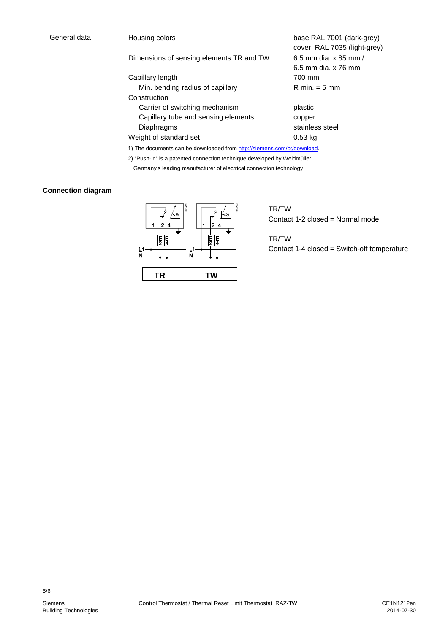| Housing colors                           | base RAL 7001 (dark-grey)       |  |
|------------------------------------------|---------------------------------|--|
|                                          | cover RAL 7035 (light-grey)     |  |
| Dimensions of sensing elements TR and TW | 6.5 mm dia. x 85 mm /           |  |
|                                          | 6.5 mm dia. x 76 mm             |  |
| Capillary length                         | 700 mm                          |  |
| Min. bending radius of capillary         | $R \text{ min.} = 5 \text{ mm}$ |  |
| Construction                             |                                 |  |
| Carrier of switching mechanism           | plastic                         |  |
| Capillary tube and sensing elements      | copper                          |  |
| Diaphragms                               | stainless steel                 |  |
| Weight of standard set                   | $0.53$ kg                       |  |
|                                          |                                 |  |

1) The documents can be downloaded from [http://siemens.com/bt/download.](http://siemens.com/bt/download)

2) "Push-in" is a patented connection technique developed by Weidmüller, Germany's leading manufacturer of electrical connection technology

# **Connection diagram**



TR/TW: Contact 1-2 closed = Normal mode

TR/TW: Contact 1-4 closed = Switch-off temperature